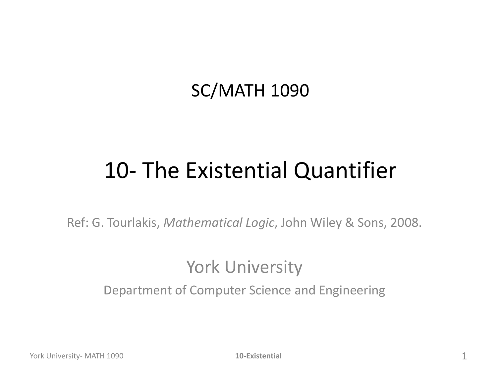#### SC/MATH 1090

#### 10- The Existential Quantifier

Ref: G. Tourlakis, *Mathematical Logic*, John Wiley & Sons, 2008.

#### York University

Department of Computer Science and Engineering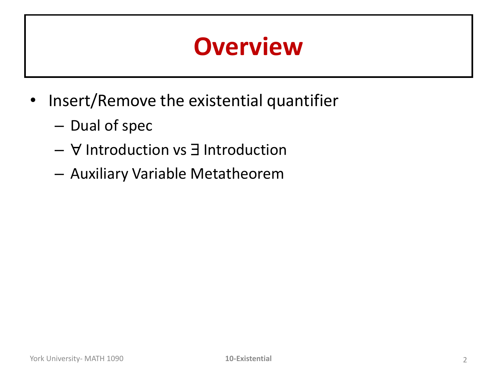# **Overview**

- Insert/Remove the existential quantifier
	- Dual of spec
	- $\forall$  Introduction vs  $\exists$  Introduction
	- Auxiliary Variable Metatheorem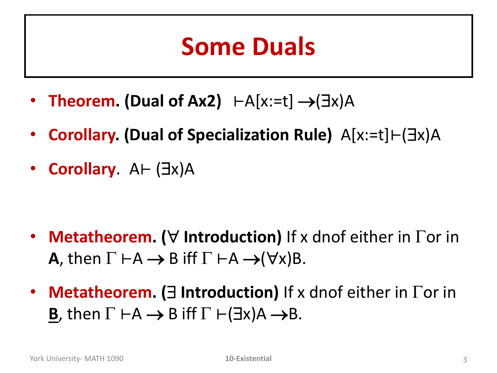### **Some Duals**

- **Theorem. (Dual of Ax2)** ⊢A[x:=t] →(3x)A
- **Corollary. (Dual of Specialization Rule)** A[x:=t]⊢(3x)A
- **Corollary**. A⊢ (∃x)A

- **Metatheorem. (** $\forall$  **Introduction)** If x dnof either in  $\Gamma$ or in **A**, then  $\Gamma$  ⊢A  $\rightarrow$  B iff  $\Gamma$  ⊢A  $\rightarrow$ ( $\forall$ x)B.
- **Metatheorem.** ( $\exists$  Introduction) If x dnof either in  $\Gamma$ or in **B**, then  $\Gamma \vdash A \rightarrow B$  iff  $\Gamma \vdash (\exists x)A \rightarrow B$ .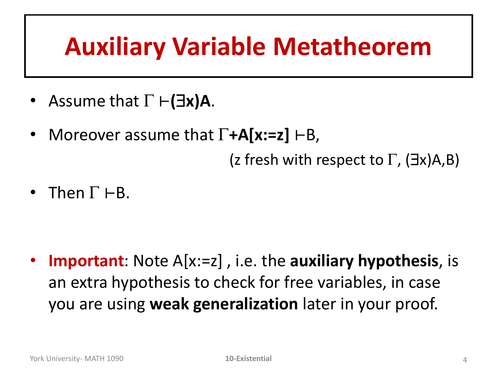# **Auxiliary Variable Metatheorem**

- Assume that  $\Gamma$  ⊢( $\exists$ **x**)**A**.
- Moreover assume that  $\Gamma$ **+A[x:=z]**  $\vdash$ B,

(z fresh with respect to  $\Gamma$ , ( $\exists x$ )A,B)

• Then  $\Gamma$   $\vdash$  B.

• **Important**: Note A[x:=z] , i.e. the **auxiliary hypothesis**, is an extra hypothesis to check for free variables, in case you are using **weak generalization** later in your proof.